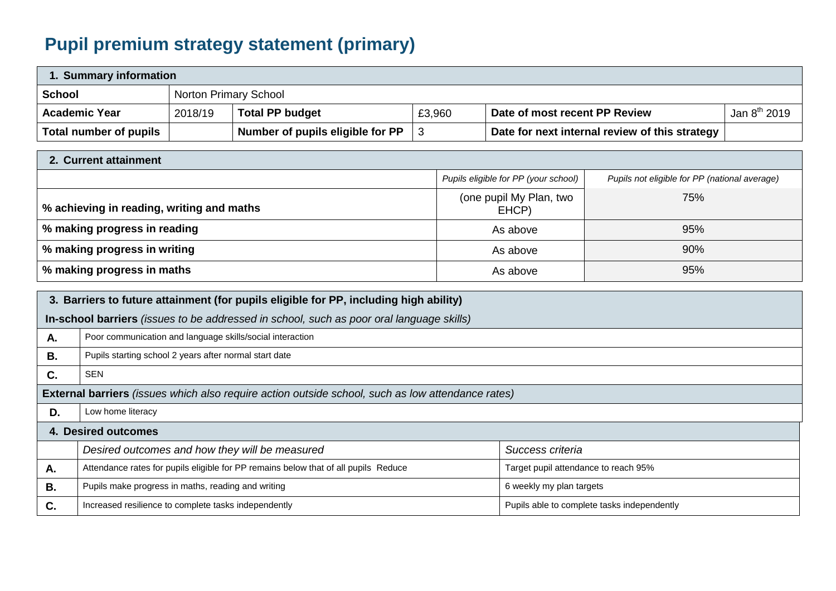## **Pupil premium strategy statement (primary)**

| 1. Summary information |                       |                                  |        |                                                |                   |  |
|------------------------|-----------------------|----------------------------------|--------|------------------------------------------------|-------------------|--|
| <b>School</b>          | Norton Primary School |                                  |        |                                                |                   |  |
| <b>Academic Year</b>   | 2018/19               | <b>Total PP budget</b>           | £3,960 | Date of most recent PP Review                  | Jan $8^{th}$ 2019 |  |
| Total number of pupils |                       | Number of pupils eligible for PP |        | Date for next internal review of this strategy |                   |  |

| 2. Current attainment                     |                                      |                                               |  |  |  |
|-------------------------------------------|--------------------------------------|-----------------------------------------------|--|--|--|
|                                           | Pupils eligible for PP (your school) | Pupils not eligible for PP (national average) |  |  |  |
| % achieving in reading, writing and maths | (one pupil My Plan, two<br>EHCP)     | 75%                                           |  |  |  |
| % making progress in reading              | As above                             | 95%                                           |  |  |  |
| % making progress in writing              | As above                             | 90%                                           |  |  |  |
| % making progress in maths                | As above                             | 95%                                           |  |  |  |

| 3. Barriers to future attainment (for pupils eligible for PP, including high ability) |                                                                                                          |                                             |  |  |  |
|---------------------------------------------------------------------------------------|----------------------------------------------------------------------------------------------------------|---------------------------------------------|--|--|--|
|                                                                                       | In-school barriers (issues to be addressed in school, such as poor oral language skills)                 |                                             |  |  |  |
| A.                                                                                    | Poor communication and language skills/social interaction                                                |                                             |  |  |  |
| В.                                                                                    | Pupils starting school 2 years after normal start date                                                   |                                             |  |  |  |
| C.                                                                                    | <b>SEN</b>                                                                                               |                                             |  |  |  |
|                                                                                       | <b>External barriers</b> (issues which also require action outside school, such as low attendance rates) |                                             |  |  |  |
| D.                                                                                    | Low home literacy                                                                                        |                                             |  |  |  |
| 4. Desired outcomes                                                                   |                                                                                                          |                                             |  |  |  |
|                                                                                       | Desired outcomes and how they will be measured                                                           | Success criteria                            |  |  |  |
| A.                                                                                    | Attendance rates for pupils eligible for PP remains below that of all pupils Reduce                      | Target pupil attendance to reach 95%        |  |  |  |
| <b>B.</b>                                                                             | Pupils make progress in maths, reading and writing                                                       | 6 weekly my plan targets                    |  |  |  |
| C.                                                                                    | Increased resilience to complete tasks independently                                                     | Pupils able to complete tasks independently |  |  |  |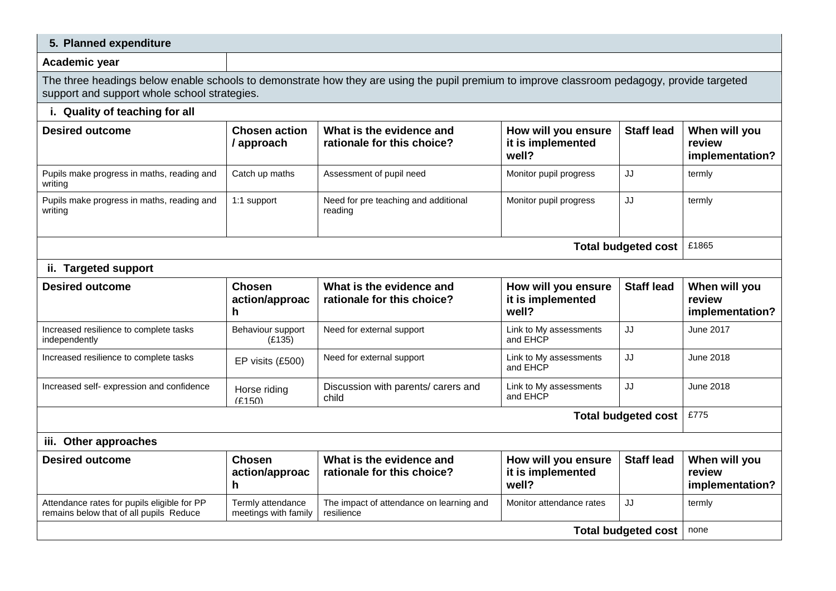| 5. Planned expenditure                                                                                                                                                                      |                                           |                                                        |                                                   |                   |                                            |
|---------------------------------------------------------------------------------------------------------------------------------------------------------------------------------------------|-------------------------------------------|--------------------------------------------------------|---------------------------------------------------|-------------------|--------------------------------------------|
| Academic year                                                                                                                                                                               |                                           |                                                        |                                                   |                   |                                            |
| The three headings below enable schools to demonstrate how they are using the pupil premium to improve classroom pedagogy, provide targeted<br>support and support whole school strategies. |                                           |                                                        |                                                   |                   |                                            |
| i. Quality of teaching for all                                                                                                                                                              |                                           |                                                        |                                                   |                   |                                            |
| <b>Desired outcome</b>                                                                                                                                                                      | <b>Chosen action</b><br>/ approach        | What is the evidence and<br>rationale for this choice? | How will you ensure<br>it is implemented<br>well? | <b>Staff lead</b> | When will you<br>review<br>implementation? |
| Pupils make progress in maths, reading and<br>writing                                                                                                                                       | Catch up maths                            | Assessment of pupil need                               | Monitor pupil progress                            | JJ                | termly                                     |
| Pupils make progress in maths, reading and<br>writing                                                                                                                                       | 1:1 support                               | Need for pre teaching and additional<br>reading        | Monitor pupil progress                            | JJ                | termly                                     |
| <b>Total budgeted cost</b>                                                                                                                                                                  |                                           |                                                        |                                                   |                   | £1865                                      |
| ii. Targeted support                                                                                                                                                                        |                                           |                                                        |                                                   |                   |                                            |
| <b>Desired outcome</b>                                                                                                                                                                      | <b>Chosen</b><br>action/approac<br>h.     | What is the evidence and<br>rationale for this choice? | How will you ensure<br>it is implemented<br>well? | <b>Staff lead</b> | When will you<br>review<br>implementation? |
| Increased resilience to complete tasks<br>independently                                                                                                                                     | Behaviour support<br>(E135)               | Need for external support                              | Link to My assessments<br>and EHCP                | JJ                | June 2017                                  |
| Increased resilience to complete tasks                                                                                                                                                      | EP visits (£500)                          | Need for external support                              | Link to My assessments<br>and EHCP                | JJ                | June 2018                                  |
| Increased self- expression and confidence                                                                                                                                                   | Horse riding<br>(F150)                    | Discussion with parents/ carers and<br>child           | Link to My assessments<br>and EHCP                | JJ                | June 2018                                  |
| <b>Total budgeted cost</b>                                                                                                                                                                  |                                           |                                                        |                                                   |                   | £775                                       |
| iii. Other approaches                                                                                                                                                                       |                                           |                                                        |                                                   |                   |                                            |
| <b>Desired outcome</b>                                                                                                                                                                      | <b>Chosen</b><br>action/approac<br>h.     | What is the evidence and<br>rationale for this choice? | How will you ensure<br>it is implemented<br>well? | <b>Staff lead</b> | When will you<br>review<br>implementation? |
| Attendance rates for pupils eligible for PP<br>remains below that of all pupils Reduce                                                                                                      | Termly attendance<br>meetings with family | The impact of attendance on learning and<br>resilience | Monitor attendance rates                          | JJ                | termly                                     |
| <b>Total budgeted cost</b>                                                                                                                                                                  |                                           |                                                        |                                                   | none              |                                            |